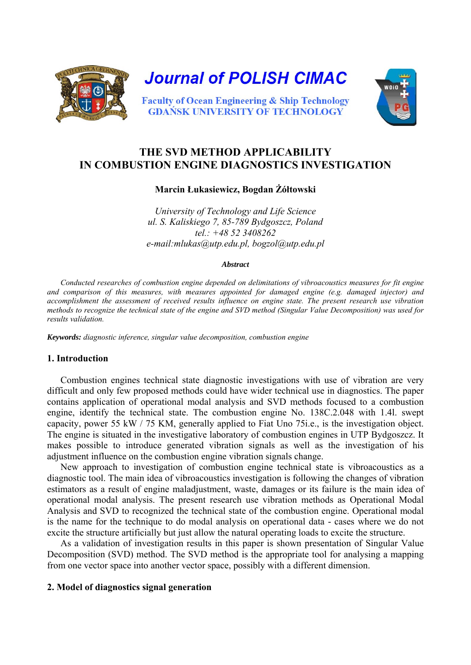

# **THE SVD METHOD APPLICABILITY IN COMBUSTION ENGINE DIAGNOSTICS INVESTIGATION**

**Marcin Łukasiewicz, Bogdan Żółtowski**

*University of Technology and Life Science ul. S. Kaliskiego 7, 85-789 Bydgoszcz, Poland tel.: +48 52 3408262 e-mail:mlukas@utp.edu.pl, bogzol@utp.edu.pl* 

#### *Abstract*

*Conducted researches of combustion engine depended on delimitations of vibroacoustics measures for fit engine and comparison of this measures, with measures appointed for damaged engine (e.g. damaged injector) and accomplishment the assessment of received results influence on engine state. The present research use vibration methods to recognize the technical state of the engine and SVD method (Singular Value Decomposition) was used for results validation.* 

*Keywords: diagnostic inference, singular value decomposition, combustion engine* 

# **1. Introduction**

Combustion engines technical state diagnostic investigations with use of vibration are very difficult and only few proposed methods could have wider technical use in diagnostics. The paper contains application of operational modal analysis and SVD methods focused to a combustion engine, identify the technical state. The combustion engine No. 138C.2.048 with 1.4l. swept capacity, power 55 kW / 75 KM, generally applied to Fiat Uno 75i.e., is the investigation object. The engine is situated in the investigative laboratory of combustion engines in UTP Bydgoszcz. It makes possible to introduce generated vibration signals as well as the investigation of his adjustment influence on the combustion engine vibration signals change.

New approach to investigation of combustion engine technical state is vibroacoustics as a diagnostic tool. The main idea of vibroacoustics investigation is following the changes of vibration estimators as a result of engine maladjustment, waste, damages or its failure is the main idea of operational modal analysis. The present research use vibration methods as Operational Modal Analysis and SVD to recognized the technical state of the combustion engine. Operational modal is the name for the technique to do modal analysis on operational data - cases where we do not excite the structure artificially but just allow the natural operating loads to excite the structure.

As a validation of investigation results in this paper is shown presentation of Singular Value Decomposition (SVD) method. The SVD method is the appropriate tool for analysing a mapping from one vector space into another vector space, possibly with a different dimension.

# **2. Model of diagnostics signal generation**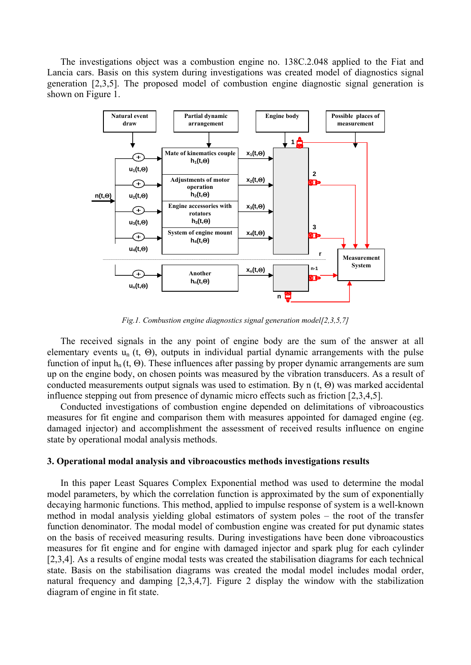The investigations object was a combustion engine no. 138C.2.048 applied to the Fiat and Lancia cars. Basis on this system during investigations was created model of diagnostics signal generation [2,3,5]. The proposed model of combustion engine diagnostic signal generation is shown on Figure 1.



*Fig.1. Combustion engine diagnostics signal generation model[2,3,5,7]* 

The received signals in the any point of engine body are the sum of the answer at all elementary events  $u_n(t, \Theta)$ , outputs in individual partial dynamic arrangements with the pulse function of input  $h_n(t, \Theta)$ . These influences after passing by proper dynamic arrangements are sum up on the engine body, on chosen points was measured by the vibration transducers. As a result of conducted measurements output signals was used to estimation. By n (t, Θ) was marked accidental influence stepping out from presence of dynamic micro effects such as friction [2,3,4,5].

Conducted investigations of combustion engine depended on delimitations of vibroacoustics measures for fit engine and comparison them with measures appointed for damaged engine (eg. damaged injector) and accomplishment the assessment of received results influence on engine state by operational modal analysis methods.

#### **3. Operational modal analysis and vibroacoustics methods investigations results**

In this paper Least Squares Complex Exponential method was used to determine the modal model parameters, by which the correlation function is approximated by the sum of exponentially decaying harmonic functions. This method, applied to impulse response of system is a well-known method in modal analysis yielding global estimators of system poles – the root of the transfer function denominator. The modal model of combustion engine was created for put dynamic states on the basis of received measuring results. During investigations have been done vibroacoustics measures for fit engine and for engine with damaged injector and spark plug for each cylinder [2,3,4]. As a results of engine modal tests was created the stabilisation diagrams for each technical state. Basis on the stabilisation diagrams was created the modal model includes modal order, natural frequency and damping [2,3,4,7]. Figure 2 display the window with the stabilization diagram of engine in fit state.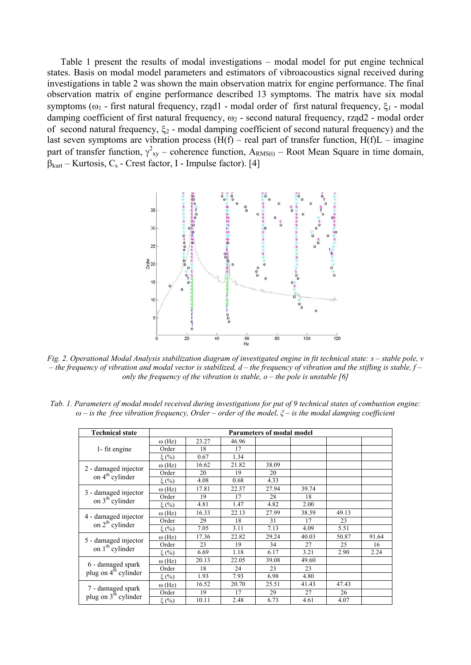Table 1 present the results of modal investigations – modal model for put engine technical states. Basis on modal model parameters and estimators of vibroacoustics signal received during investigations in table 2 was shown the main observation matrix for engine performance. The final observation matrix of engine performance described 13 symptoms. The matrix have six modal symptoms ( $\omega_1$  - first natural frequency, rząd1 - modal order of first natural frequency,  $\xi_1$  - modal damping coefficient of first natural frequency,  $\omega_2$  - second natural frequency, rząd2 - modal order of second natural frequency,  $\xi_2$  - modal damping coefficient of second natural frequency) and the last seven symptoms are vibration process  $(H(f) - real part of transfer function, H(f)L - image$ part of transfer function,  $\gamma_{xy}^2$  – coherence function,  $A_{RMS(t)}$  – Root Mean Square in time domain,  $\beta_{\text{kurt}}$  – Kurtosis, C<sub>s</sub> - Crest factor, I - Impulse factor). [4]



*Fig. 2. Operational Modal Analysis stabilization diagram of investigated engine in fit technical state: s – stable pole, v – the frequency of vibration and modal vector is stabilized, d – the frequency of vibration and the stifling is stable, f – only the frequency of the vibration is stable, o – the pole is unstable [6]* 

| <b>Technical state</b>                                | <b>Parameters of modal model</b> |       |       |       |       |       |       |  |  |
|-------------------------------------------------------|----------------------------------|-------|-------|-------|-------|-------|-------|--|--|
|                                                       | $\omega$ (Hz)                    | 23.27 | 46.96 |       |       |       |       |  |  |
| 1- fit engine                                         | Order                            | 18    | 17    |       |       |       |       |  |  |
|                                                       | $\xi$ (%)                        | 0.67  | 1.34  |       |       |       |       |  |  |
|                                                       | $\omega$ (Hz)                    | 16.62 | 21.82 | 38.09 |       |       |       |  |  |
| 2 - damaged injector<br>on 4 <sup>th</sup> cylinder   | Order                            | 20    | 19    | 20    |       |       |       |  |  |
|                                                       | $\xi$ (%)                        | 4.08  | 0.68  | 4.33  |       |       |       |  |  |
|                                                       | $\omega$ (Hz)                    | 17.81 | 22.57 | 27.94 | 39.74 |       |       |  |  |
| 3 - damaged injector                                  | Order                            | 19    | 17    | 28    | 18    |       |       |  |  |
| on 3 <sup>th</sup> cylinder                           | $\xi$ (%)                        | 4.81  | 1.47  | 4.82  | 2.00  |       |       |  |  |
|                                                       | $\omega$ (Hz)                    | 16.33 | 22.13 | 27.99 | 38.59 | 49.13 |       |  |  |
| 4 - damaged injector                                  | Order                            | 29    | 18    | 31    | 17    | 23    |       |  |  |
| on 2 <sup>th</sup> cylinder                           | $\xi$ (%)                        | 7.05  | 3.11  | 7.13  | 4.09  | 5.51  |       |  |  |
|                                                       | $\omega$ (Hz)                    | 17.36 | 22.82 | 29.24 | 40.03 | 50.87 | 91.64 |  |  |
| 5 - damaged injector                                  | Order                            | 23    | 19    | 34    | 27    | 25    | 16    |  |  |
| on 1 <sup>th</sup> cylinder                           | $\xi$ (%)                        | 6.69  | 1.18  | 6.17  | 3.21  | 2.90  | 2.24  |  |  |
|                                                       | $\omega$ (Hz)                    | 20.13 | 22.05 | 39.08 | 49.60 |       |       |  |  |
| 6 - damaged spark<br>plug on $4^{\text{th}}$ cylinder | Order                            | 18    | 24    | 23    | 23    |       |       |  |  |
|                                                       | $\xi(%)$                         | 1.93  | 7.93  | 6.98  | 4.80  |       |       |  |  |
|                                                       | $\omega$ (Hz)                    | 16.52 | 20.70 | 25.51 | 41.43 | 47.43 |       |  |  |
| 7 - damaged spark                                     | Order                            | 19    | 17    | 29    | 27    | 26    |       |  |  |
| plug on $3^{\text{th}}$ cylinder                      | $\xi$ (%)                        | 10.11 | 2.48  | 6.73  | 4.61  | 4.07  |       |  |  |

*Tab. 1. Parameters of modal model received during investigations for put of 9 technical states of combustion engine: ω – is the free vibration frequency, Order – order of the model, ξ – is the modal damping coefficient*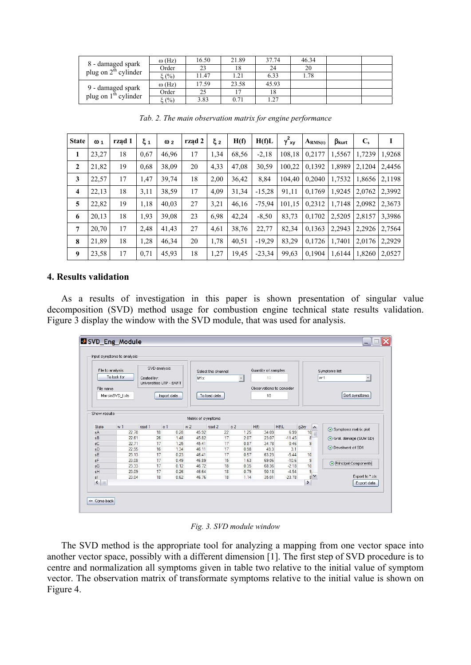| 8 - damaged spark<br>plug on $2^{th}$ cylinder | $\omega$ (Hz) | 16.50 | 21.89 | 37.74 | 46.34 |  |
|------------------------------------------------|---------------|-------|-------|-------|-------|--|
|                                                | Order         | 23    | 18    | 24    | 20    |  |
|                                                | E(%)          | 1.47  | 1.21  | 6.33  | .78   |  |
| 9 - damaged spark<br>plug on $1th$ cylinder    | $\omega$ (Hz) | 7.59  | 23.58 | 45.93 |       |  |
|                                                | Order         | 25    |       | 18    |       |  |
|                                                | $\xi(%)$      | 3.83  | 0.71  | 1.27  |       |  |

| <b>State</b>   | $\omega$ <sub>1</sub> | rząd 1 | ξ1   | $\omega$ <sub>2</sub> | rząd 2 | ξ2   | H(f)  | H(f)L    | $\gamma^2_{xy}$ | $A_{RMS(t)}$ | $\beta_{\text{kurt}}$ | $\mathbf{C}_s$ | 1      |
|----------------|-----------------------|--------|------|-----------------------|--------|------|-------|----------|-----------------|--------------|-----------------------|----------------|--------|
| 1              | 23,27                 | 18     | 0.67 | 46,96                 | 17     | 1,34 | 68,56 | $-2,18$  | 108,18          | 0,2177       | 1,5567                | 1.7239         | 1,9268 |
| $\mathbf{2}$   | 21,82                 | 19     | 0.68 | 38,09                 | 20     | 4,33 | 47,08 | 30,59    | 100,22          | 0.1392       | 1,8989                | 2.1204         | 2.4456 |
| 3              | 22,57                 | 17     | 1,47 | 39,74                 | 18     | 2,00 | 36,42 | 8.84     | 104.40          | 0.2040       | 1,7532                | 1,8656         | 2,1198 |
| $\overline{4}$ | 22,13                 | 18     | 3,11 | 38,59                 | 17     | 4,09 | 31,34 | $-15,28$ | 91,11           | 0,1769       | 1,9245                | 2,0762         | 2,3992 |
| 5              | 22,82                 | 19     | 1,18 | 40,03                 | 27     | 3,21 | 46.16 | $-75.94$ | 101,15          | 0.2312       | 1.7148                | 2.0982         | 2,3673 |
| 6              | 20,13                 | 18     | 1.93 | 39,08                 | 23     | 6.98 | 42,24 | $-8,50$  | 83,73           | 0,1702       | 2,5205                | 2,8157         | 3,3986 |
| $\overline{7}$ | 20,70                 | 17     | 2,48 | 41,43                 | 27     | 4,61 | 38,76 | 22,77    | 82,34           | 0,1363       | 2,2943                | 2,2926         | 2,7564 |
| 8              | 21,89                 | 18     | 1,28 | 46,34                 | 20     | 1,78 | 40,51 | $-19,29$ | 83,29           | 0,1726       | 1.7401                | 2.0176         | 2.2929 |
| 9              | 23,58                 | 17     | 0,71 | 45,93                 | 18     | 1,27 | 19,45 | $-23.34$ | 99,63           | 0,1904       | 1,6144                | 1,8260         | 2,0527 |

*Tab. 2. The main observation matrix for engine performance* 

## **4. Results validation**

As a results of investigation in this paper is shown presentation of singular value decomposition (SVD) method usage for combustion engine technical state results validation. Figure 3 display the window with the SVD module, that was used for analysis.



*Fig. 3. SVD module window* 

The SVD method is the appropriate tool for analyzing a mapping from one vector space into another vector space, possibly with a different dimension [1]. The first step of SVD procedure is to centre and normalization all symptoms given in table two relative to the initial value of symptom vector. The observation matrix of transformate symptoms relative to the initial value is shown on Figure 4.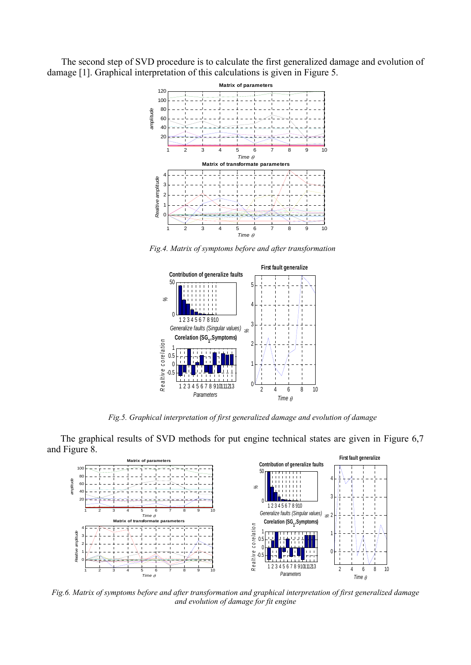The second step of SVD procedure is to calculate the first generalized damage and evolution of damage [1]. Graphical interpretation of this calculations is given in Figure 5.



*Fig.4. Matrix of symptoms before and after transformation* 



*Fig.5. Graphical interpretation of first generalized damage and evolution of damage* 

The graphical results of SVD methods for put engine technical states are given in Figure 6,7 and Figure 8.



*Fig.6. Matrix of symptoms before and after transformation and graphical interpretation of first generalized damage and evolution of damage for fit engine*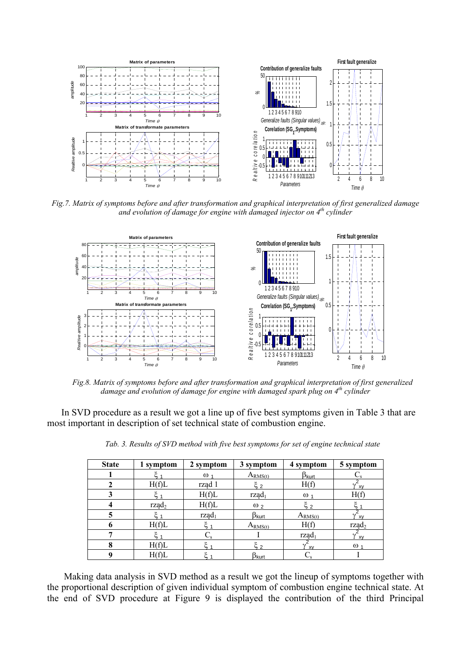

*Fig.7. Matrix of symptoms before and after transformation and graphical interpretation of first generalized damage and evolution of damage for engine with damaged injector on 4th cylinder* 



*Fig.8. Matrix of symptoms before and after transformation and graphical interpretation of first generalized damage and evolution of damage for engine with damaged spark plug on 4th cylinder* 

In SVD procedure as a result we got a line up of five best symptoms given in Table 3 that are most important in description of set technical state of combustion engine.

| <b>State</b> | 1 symptom       | 2 symptom       | 3 symptom               | 4 symptom          | 5 symptom       |
|--------------|-----------------|-----------------|-------------------------|--------------------|-----------------|
|              |                 | $\omega_1$      | $A_{RMS(t)}$            | $\beta_{\sf kurt}$ |                 |
|              | H(f)L           | rząd 1          | $\zeta$ 2               | H(f)               | v<br>XV         |
|              |                 | H(f)L           | $\text{rzad}_1$         | $\omega_1$         | H(f             |
|              | $\text{rząd}_2$ | H(f)L           | $\omega_2$              | $\xi_{2}$          |                 |
|              |                 | $\text{rzad}_1$ | $\beta_{\text{kurt}}$   | $A_{RMS(t)}$       | XV              |
|              | H(f)L           |                 | $A_{RMS(t)}$            | H(f)               | $\text{rzad}_2$ |
|              |                 |                 |                         | $\text{rzad}_1$    | $\gamma$<br>XV  |
| 8            | H(f)L           |                 | $\sim$ 2                | <b>XV</b>          | $\omega$ .      |
|              | H(f)L           |                 | $\beta_{\mathsf{kurt}}$ |                    |                 |

*Tab. 3. Results of SVD method with five best symptoms for set of engine technical state* 

Making data analysis in SVD method as a result we got the lineup of symptoms together with the proportional description of given individual symptom of combustion engine technical state. At the end of SVD procedure at Figure 9 is displayed the contribution of the third Principal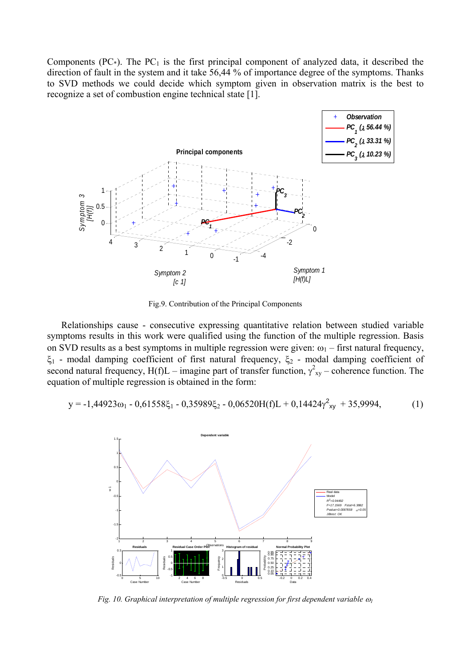Components (PC $_{*}$ ). The PC<sub>1</sub> is the first principal component of analyzed data, it described the direction of fault in the system and it take 56,44 % of importance degree of the symptoms. Thanks to SVD methods we could decide which symptom given in observation matrix is the best to recognize a set of combustion engine technical state [1].



Fig.9. Contribution of the Principal Components

Relationships cause - consecutive expressing quantitative relation between studied variable symptoms results in this work were qualified using the function of the multiple regression. Basis on SVD results as a best symptoms in multiple regression were given:  $\omega_1$  – first natural frequency, ξ<sub>1</sub> - modal damping coefficient of first natural frequency, ξ<sub>2</sub> - modal damping coefficient of second natural frequency,  $H(f)L$  – imagine part of transfer function,  $\gamma_{xy}^2$  – coherence function. The equation of multiple regression is obtained in the form:

$$
y = -1,44923\omega_1 - 0,61558\xi_1 - 0,35989\xi_2 - 0,06520H(f)L + 0,14424\gamma^2_{xy} + 35,9994,\tag{1}
$$



*Fig. 10. Graphical interpretation of multiple regression for first dependent variable* <sup>ω</sup>*1*